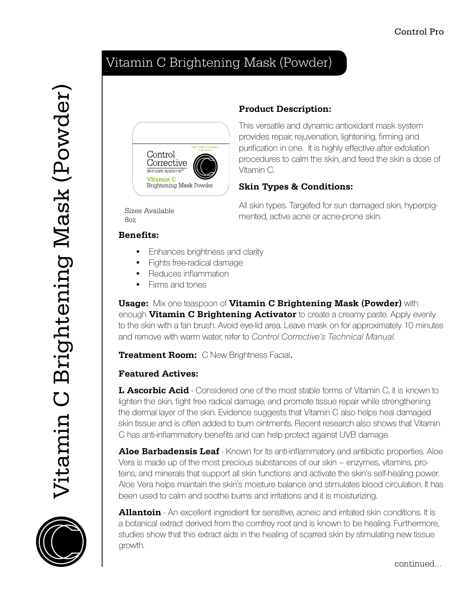# Vitamin C Brightening Mask (Powder)







### **Product Description:**

This versatile and dynamic antioxidant mask system provides repair, rejuvenation, lightening, firming and purification in one. It is highly effective after exfoliation procedures to calm the skin, and feed the skin a dose of Vitamin C.

#### **Skin Types & Conditions:**

Sizes Available  $8<sub>07</sub>$ 

All skin types. Targeted for sun damaged skin, hyperpigmented, active acne or acne-prone skin.

#### **Benefits:**

- Enhances brightness and clarity •
- Fights free-radical damage •
- Reduces inflammation •
- Firms and tones •

**Usage:** Mix one teaspoon of **Vitamin C Brightening Mask (Powder)** with enough **Vitamin C Brightening Activator** to create a creamy paste. Apply evenly to the skin with a fan brush. Avoid eye-lid area. Leave mask on for approximately 10 minutes and remove with warm water, refer to Control Corrective's Technical Manual.

**Treatment Room:** C New Brightness Facial.

### **Featured Actives:**

**L Ascorbic Acid** - Considered one of the most stable forms of Vitamin C, it is known to lighten the skin, fight free radical damage, and promote tissue repair while strengthening the dermal layer of the skin. Evidence suggests that Vitamin C also helps heal damaged skin tissue and is often added to burn ointments. Recent research also shows that Vitamin C has anti-inflammatory benefits and can help protect against UVB damage.

**Aloe Barbadensis Leaf** - Known for its anti-inflammatory and antibiotic properties. Aloe Vera is made up of the most precious substances of our skin – enzymes, vitamins, proteins, and minerals that support all skin functions and activate the skin's self-healing power. Aloe Vera helps maintain the skin's moisture balance and stimulates blood circulation. It has been used to calm and soothe burns and irritations and it is moisturizing.

**Allantoin** - An excellent ingredient for sensitive, acneic and irritated skin conditions. It is a botanical extract derived from the comfrey root and is known to be healing. Furthermore, studies show that this extract aids in the healing of scarred skin by stimulating new tissue growth.

continued...